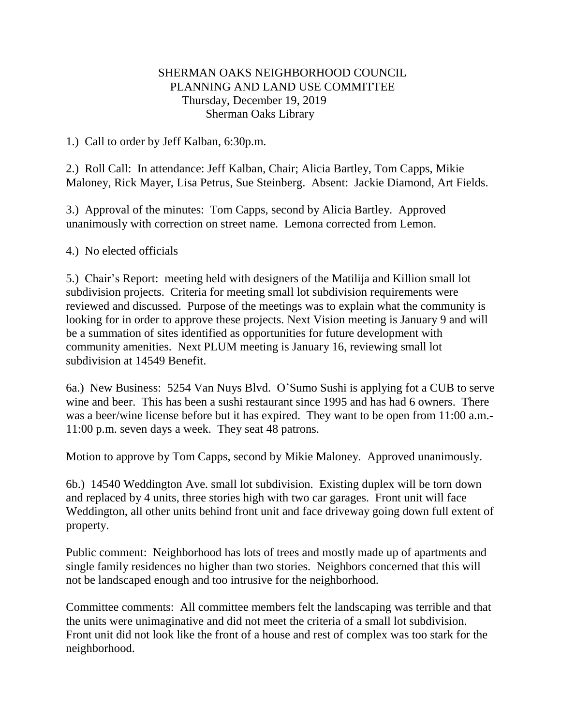## SHERMAN OAKS NEIGHBORHOOD COUNCIL PLANNING AND LAND USE COMMITTEE Thursday, December 19, 2019 Sherman Oaks Library

1.) Call to order by Jeff Kalban, 6:30p.m.

2.) Roll Call: In attendance: Jeff Kalban, Chair; Alicia Bartley, Tom Capps, Mikie Maloney, Rick Mayer, Lisa Petrus, Sue Steinberg. Absent: Jackie Diamond, Art Fields.

3.) Approval of the minutes: Tom Capps, second by Alicia Bartley. Approved unanimously with correction on street name. Lemona corrected from Lemon.

## 4.) No elected officials

5.) Chair's Report: meeting held with designers of the Matilija and Killion small lot subdivision projects. Criteria for meeting small lot subdivision requirements were reviewed and discussed. Purpose of the meetings was to explain what the community is looking for in order to approve these projects. Next Vision meeting is January 9 and will be a summation of sites identified as opportunities for future development with community amenities. Next PLUM meeting is January 16, reviewing small lot subdivision at 14549 Benefit.

6a.) New Business: 5254 Van Nuys Blvd. O'Sumo Sushi is applying fot a CUB to serve wine and beer. This has been a sushi restaurant since 1995 and has had 6 owners. There was a beer/wine license before but it has expired. They want to be open from 11:00 a.m.- 11:00 p.m. seven days a week. They seat 48 patrons.

Motion to approve by Tom Capps, second by Mikie Maloney. Approved unanimously.

6b.) 14540 Weddington Ave. small lot subdivision. Existing duplex will be torn down and replaced by 4 units, three stories high with two car garages. Front unit will face Weddington, all other units behind front unit and face driveway going down full extent of property.

Public comment: Neighborhood has lots of trees and mostly made up of apartments and single family residences no higher than two stories. Neighbors concerned that this will not be landscaped enough and too intrusive for the neighborhood.

Committee comments: All committee members felt the landscaping was terrible and that the units were unimaginative and did not meet the criteria of a small lot subdivision. Front unit did not look like the front of a house and rest of complex was too stark for the neighborhood.